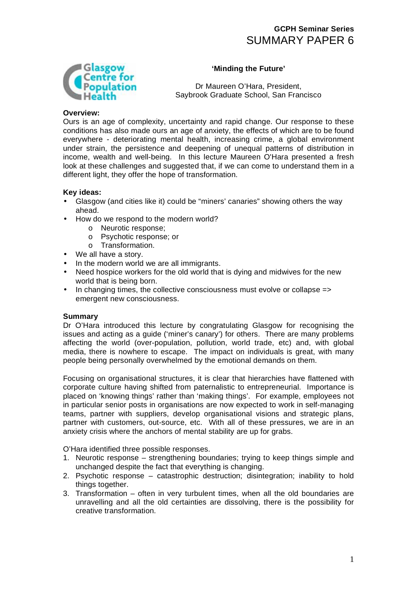# **GCPH Seminar Series**  SUMMARY PAPER 6

### **'Minding the Future'**



Dr Maureen O'Hara, President, Saybrook Graduate School, San Francisco

#### **Overview:**

Ours is an age of complexity, uncertainty and rapid change. Our response to these conditions has also made ours an age of anxiety, the effects of which are to be found everywhere - deteriorating mental health, increasing crime, a global environment under strain, the persistence and deepening of unequal patterns of distribution in income, wealth and well-being. In this lecture Maureen O'Hara presented a fresh look at these challenges and suggested that, if we can come to understand them in a different light, they offer the hope of transformation.

#### **Key ideas:**

- Glasgow (and cities like it) could be "miners' canaries" showing others the way ahead.
- How do we respond to the modern world?
	- o Neurotic response;
	- o Psychotic response; or
	- o Transformation.
- We all have a story.
- In the modern world we are all immigrants.
- Need hospice workers for the old world that is dying and midwives for the new world that is being born.
- In changing times, the collective consciousness must evolve or collapse => emergent new consciousness.

#### **Summary**

Dr O'Hara introduced this lecture by congratulating Glasgow for recognising the issues and acting as a guide ('miner's canary') for others. There are many problems affecting the world (over-population, pollution, world trade, etc) and, with global media, there is nowhere to escape. The impact on individuals is great, with many people being personally overwhelmed by the emotional demands on them.

Focusing on organisational structures, it is clear that hierarchies have flattened with corporate culture having shifted from paternalistic to entrepreneurial. Importance is placed on 'knowing things' rather than 'making things'. For example, employees not in particular senior posts in organisations are now expected to work in self-managing teams, partner with suppliers, develop organisational visions and strategic plans, partner with customers, out-source, etc. With all of these pressures, we are in an anxiety crisis where the anchors of mental stability are up for grabs.

O'Hara identified three possible responses.

- 1. Neurotic response strengthening boundaries; trying to keep things simple and unchanged despite the fact that everything is changing.
- 2. Psychotic response catastrophic destruction; disintegration; inability to hold things together.
- 3. Transformation often in very turbulent times, when all the old boundaries are unravelling and all the old certainties are dissolving, there is the possibility for creative transformation.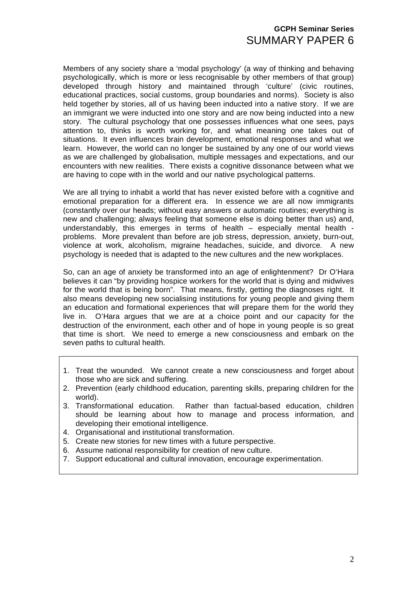# **GCPH Seminar Series**  SUMMARY PAPER 6

Members of any society share a 'modal psychology' (a way of thinking and behaving psychologically, which is more or less recognisable by other members of that group) developed through history and maintained through 'culture' (civic routines, educational practices, social customs, group boundaries and norms). Society is also held together by stories, all of us having been inducted into a native story. If we are an immigrant we were inducted into one story and are now being inducted into a new story. The cultural psychology that one possesses influences what one sees, pays attention to, thinks is worth working for, and what meaning one takes out of situations. It even influences brain development, emotional responses and what we learn. However, the world can no longer be sustained by any one of our world views as we are challenged by globalisation, multiple messages and expectations, and our encounters with new realities. There exists a cognitive dissonance between what we are having to cope with in the world and our native psychological patterns.

We are all trying to inhabit a world that has never existed before with a cognitive and emotional preparation for a different era. In essence we are all now immigrants (constantly over our heads; without easy answers or automatic routines; everything is new and challenging; always feeling that someone else is doing better than us) and, understandably, this emerges in terms of health – especially mental health problems. More prevalent than before are job stress, depression, anxiety, burn-out, violence at work, alcoholism, migraine headaches, suicide, and divorce. A new psychology is needed that is adapted to the new cultures and the new workplaces.

So, can an age of anxiety be transformed into an age of enlightenment? Dr O'Hara believes it can "by providing hospice workers for the world that is dying and midwives for the world that is being born". That means, firstly, getting the diagnoses right. It also means developing new socialising institutions for young people and giving them an education and formational experiences that will prepare them for the world they live in. O'Hara argues that we are at a choice point and our capacity for the destruction of the environment, each other and of hope in young people is so great that time is short. We need to emerge a new consciousness and embark on the seven paths to cultural health.

- 1. Treat the wounded. We cannot create a new consciousness and forget about those who are sick and suffering.
- 2. Prevention (early childhood education, parenting skills, preparing children for the world).
- 3. Transformational education. Rather than factual-based education, children should be learning about how to manage and process information, and developing their emotional intelligence.
- 4. Organisational and institutional transformation.
- 5. Create new stories for new times with a future perspective.
- 6. Assume national responsibility for creation of new culture.
- 7. Support educational and cultural innovation, encourage experimentation.